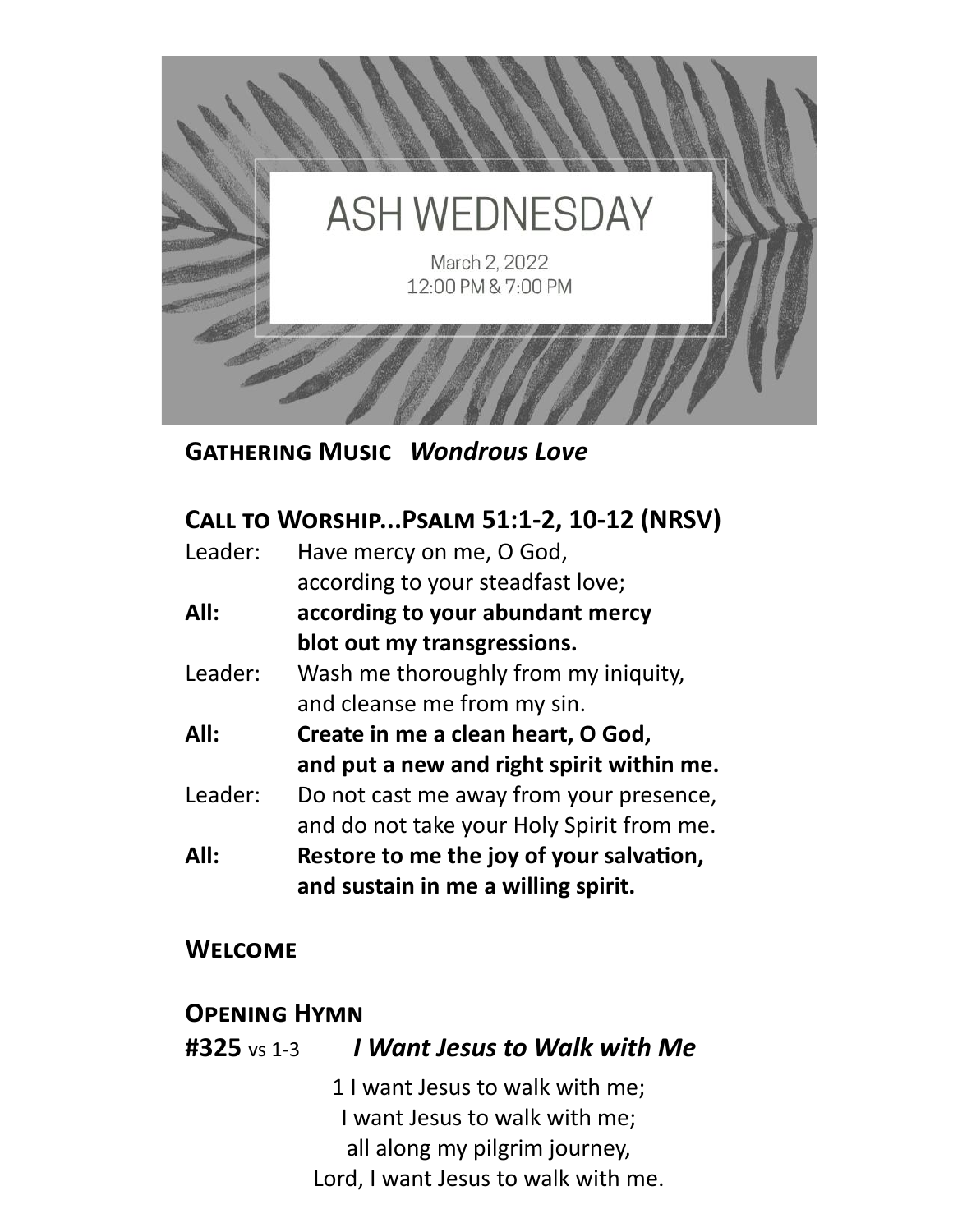

## **Gathering Music** *Wondrous Love*

## **Call to Worship...Psalm 51:1-2, 10-12 (NRSV)**

| Have mercy on me, O God,                  |
|-------------------------------------------|
| according to your steadfast love;         |
| according to your abundant mercy          |
| blot out my transgressions.               |
| Wash me thoroughly from my iniquity,      |
| and cleanse me from my sin.               |
| Create in me a clean heart, O God,        |
| and put a new and right spirit within me. |
| Do not cast me away from your presence,   |
| and do not take your Holy Spirit from me. |
| Restore to me the joy of your salvation,  |
| and sustain in me a willing spirit.       |
|                                           |

## **Welcome**

#### **Opening Hymn**

## **#325** vs 1-3 *I Want Jesus to Walk with Me*

1 I want Jesus to walk with me; I want Jesus to walk with me; all along my pilgrim journey, Lord, I want Jesus to walk with me.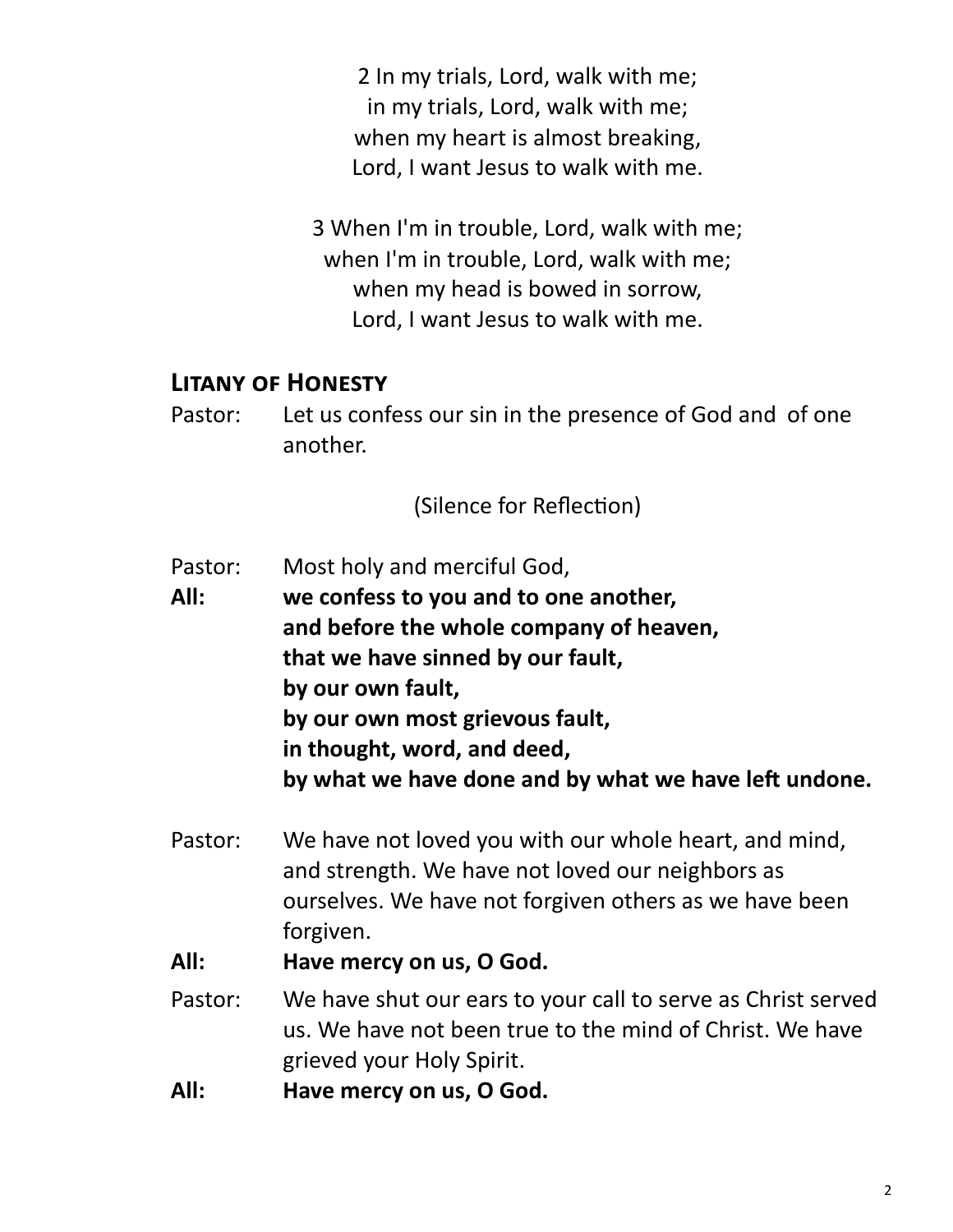2 In my trials, Lord, walk with me; in my trials, Lord, walk with me; when my heart is almost breaking, Lord, I want Jesus to walk with me.

3 When I'm in trouble, Lord, walk with me; when I'm in trouble, Lord, walk with me; when my head is bowed in sorrow, Lord, I want Jesus to walk with me.

#### **Litany of Honesty**

Pastor: Let us confess our sin in the presence of God and of one another.

(Silence for Reflection)

Pastor: Most holy and merciful God,

**All: we confess to you and to one another, and before the whole company of heaven, that we have sinned by our fault, by our own fault, by our own most grievous fault, in thought, word, and deed, by what we have done and by what we have left undone.**

Pastor: We have not loved you with our whole heart, and mind, and strength. We have not loved our neighbors as ourselves. We have not forgiven others as we have been forgiven.

#### **All: Have mercy on us, O God.**

- Pastor: We have shut our ears to your call to serve as Christ served us. We have not been true to the mind of Christ. We have grieved your Holy Spirit.
- **All: Have mercy on us, O God.**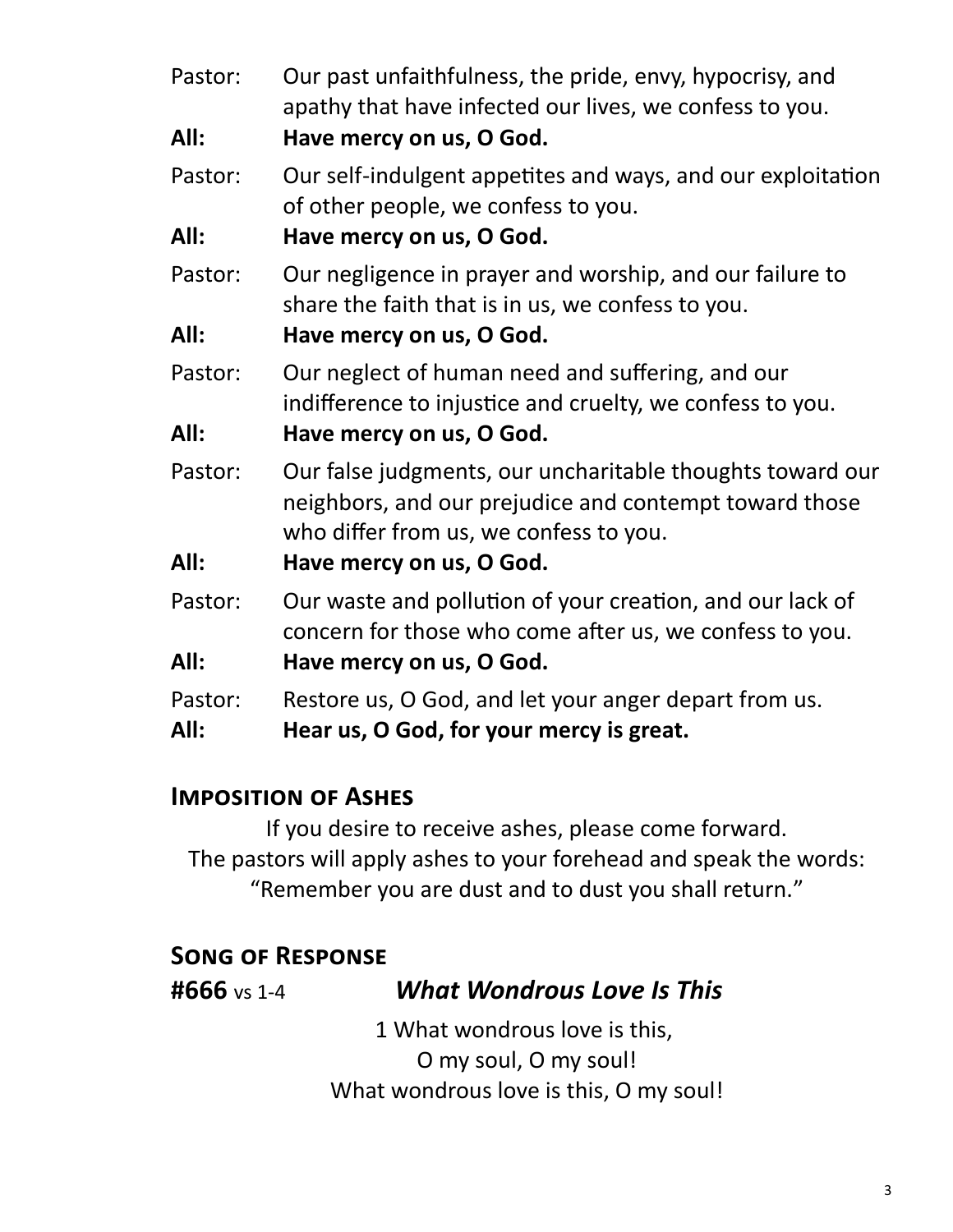Pastor: Our past unfaithfulness, the pride, envy, hypocrisy, and apathy that have infected our lives, we confess to you.

**All: Have mercy on us, O God.**

Pastor: Our self-indulgent appetites and ways, and our exploitation of other people, we confess to you.

**All: Have mercy on us, O God.**

Pastor: Our negligence in prayer and worship, and our failure to share the faith that is in us, we confess to you.

## **All: Have mercy on us, O God.**

Pastor: Our neglect of human need and suffering, and our indifference to injustice and cruelty, we confess to you.

**All: Have mercy on us, O God.**

- Pastor: Our false judgments, our uncharitable thoughts toward our neighbors, and our prejudice and contempt toward those who differ from us, we confess to you.
- **All: Have mercy on us, O God.**
- Pastor: Our waste and pollution of your creation, and our lack of concern for those who come after us, we confess to you.
- **All: Have mercy on us, O God.**
- Pastor: Restore us, O God, and let your anger depart from us.
- **All: Hear us, O God, for your mercy is great.**

## **Imposition of Ashes**

If you desire to receive ashes, please come forward. The pastors will apply ashes to your forehead and speak the words: "Remember you are dust and to dust you shall return."

## **Song of Response**

## **#666** vs 1-4 *What Wondrous Love Is This*

1 What wondrous love is this, O my soul, O my soul! What wondrous love is this, O my soul!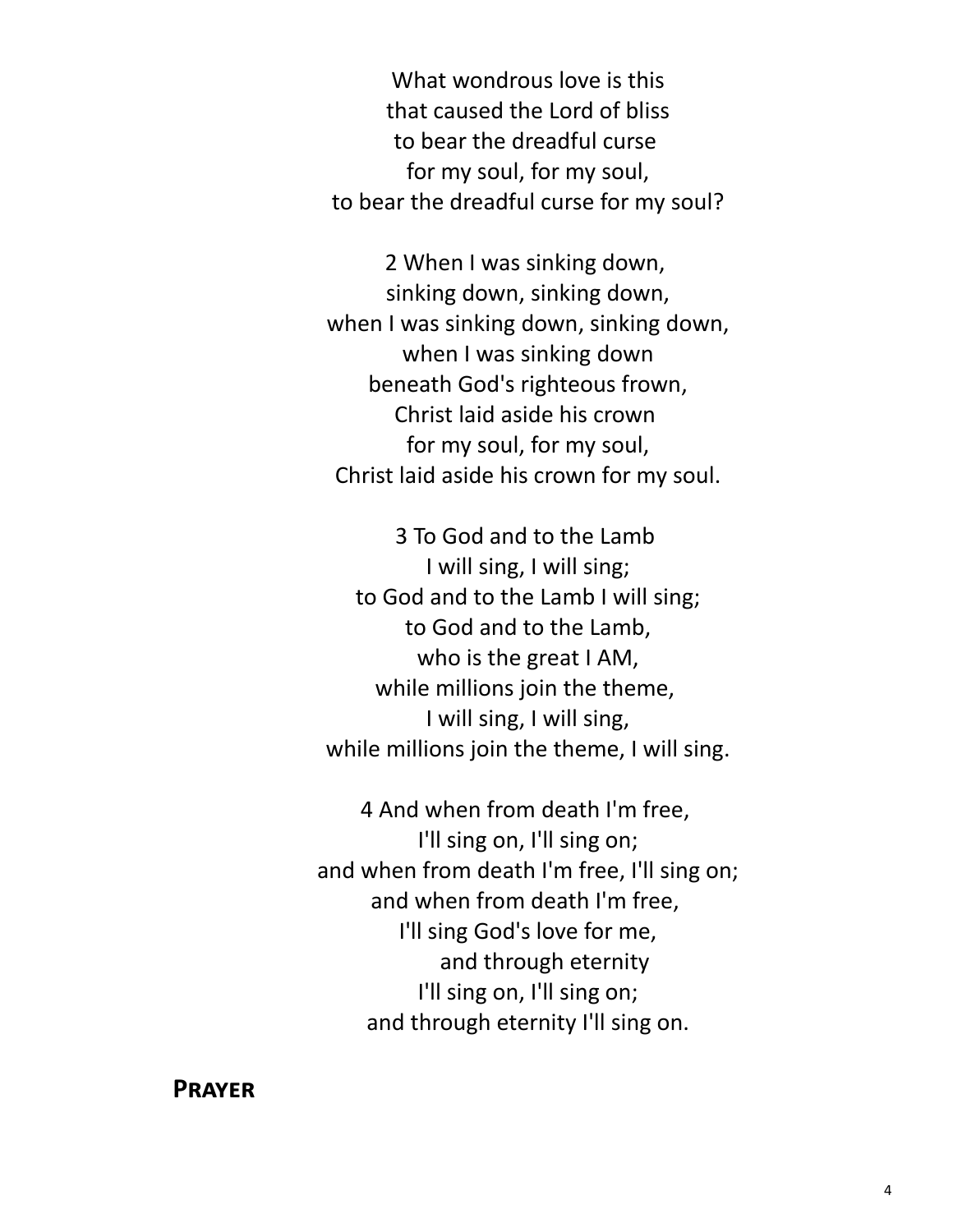What wondrous love is this that caused the Lord of bliss to bear the dreadful curse for my soul, for my soul, to bear the dreadful curse for my soul?

2 When I was sinking down, sinking down, sinking down, when I was sinking down, sinking down, when I was sinking down beneath God's righteous frown, Christ laid aside his crown for my soul, for my soul, Christ laid aside his crown for my soul.

3 To God and to the Lamb I will sing, I will sing; to God and to the Lamb I will sing; to God and to the Lamb, who is the great I AM, while millions join the theme, I will sing, I will sing, while millions join the theme, I will sing.

4 And when from death I'm free, I'll sing on, I'll sing on; and when from death I'm free, I'll sing on; and when from death I'm free, I'll sing God's love for me, and through eternity I'll sing on, I'll sing on; and through eternity I'll sing on.

**Prayer**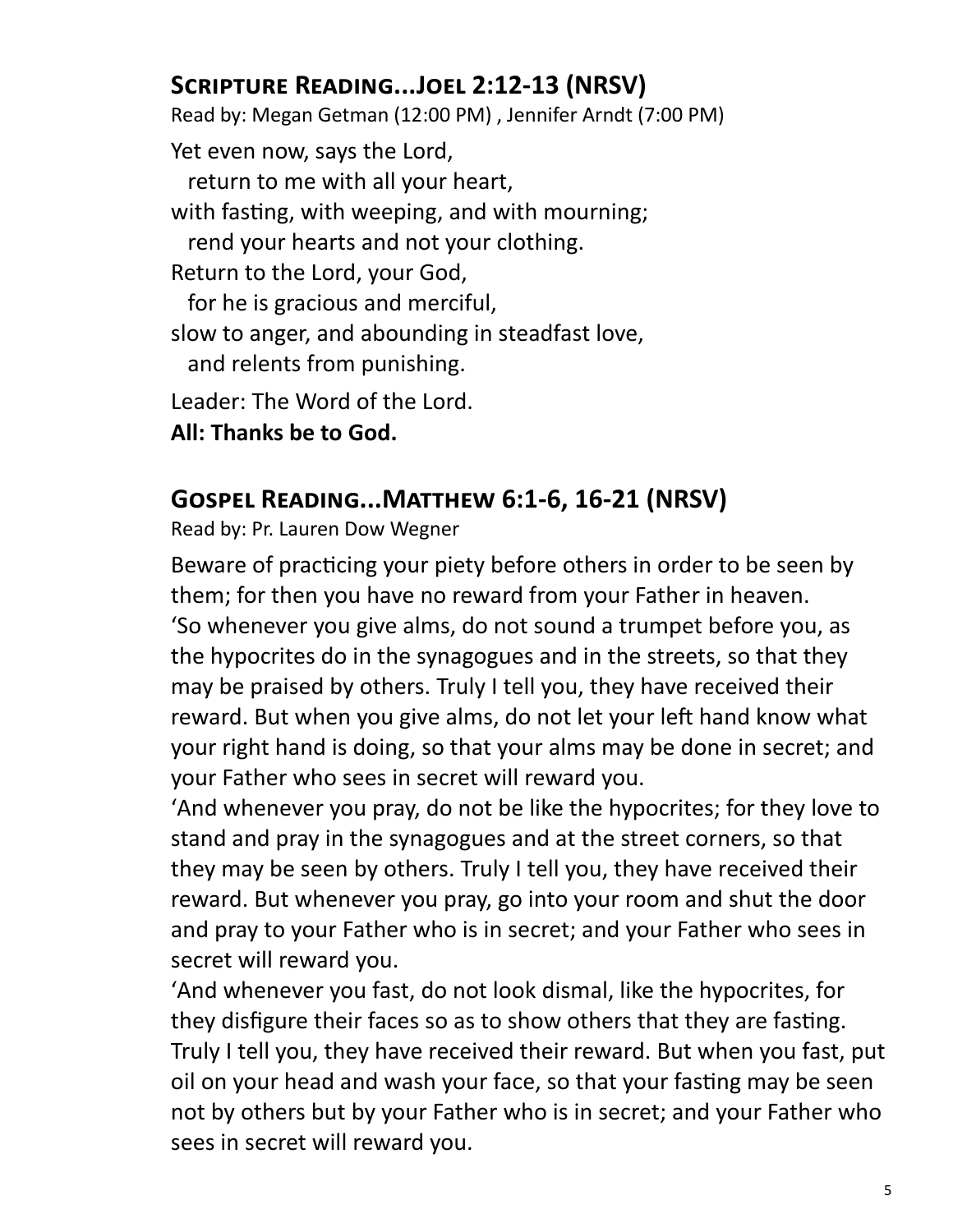## **Scripture Reading...Joel 2:12-13 (NRSV)**

Read by: Megan Getman (12:00 PM) , Jennifer Arndt (7:00 PM) Yet even now, says the Lord, return to me with all your heart, with fasting, with weeping, and with mourning; rend your hearts and not your clothing. Return to the Lord, your God, for he is gracious and merciful, slow to anger, and abounding in steadfast love, and relents from punishing. Leader: The Word of the Lord. **All: Thanks be to God.**

## **Gospel Reading...Matthew 6:1-6, 16-21 (NRSV)**

Read by: Pr. Lauren Dow Wegner

Beware of practicing your piety before others in order to be seen by them; for then you have no reward from your Father in heaven. 'So whenever you give alms, do not sound a trumpet before you, as the hypocrites do in the synagogues and in the streets, so that they may be praised by others. Truly I tell you, they have received their reward. But when you give alms, do not let your left hand know what your right hand is doing, so that your alms may be done in secret; and your Father who sees in secret will reward you.

'And whenever you pray, do not be like the hypocrites; for they love to stand and pray in the synagogues and at the street corners, so that they may be seen by others. Truly I tell you, they have received their reward. But whenever you pray, go into your room and shut the door and pray to your Father who is in secret; and your Father who sees in secret will reward you.

'And whenever you fast, do not look dismal, like the hypocrites, for they disfigure their faces so as to show others that they are fasting. Truly I tell you, they have received their reward. But when you fast, put oil on your head and wash your face, so that your fasting may be seen not by others but by your Father who is in secret; and your Father who sees in secret will reward you.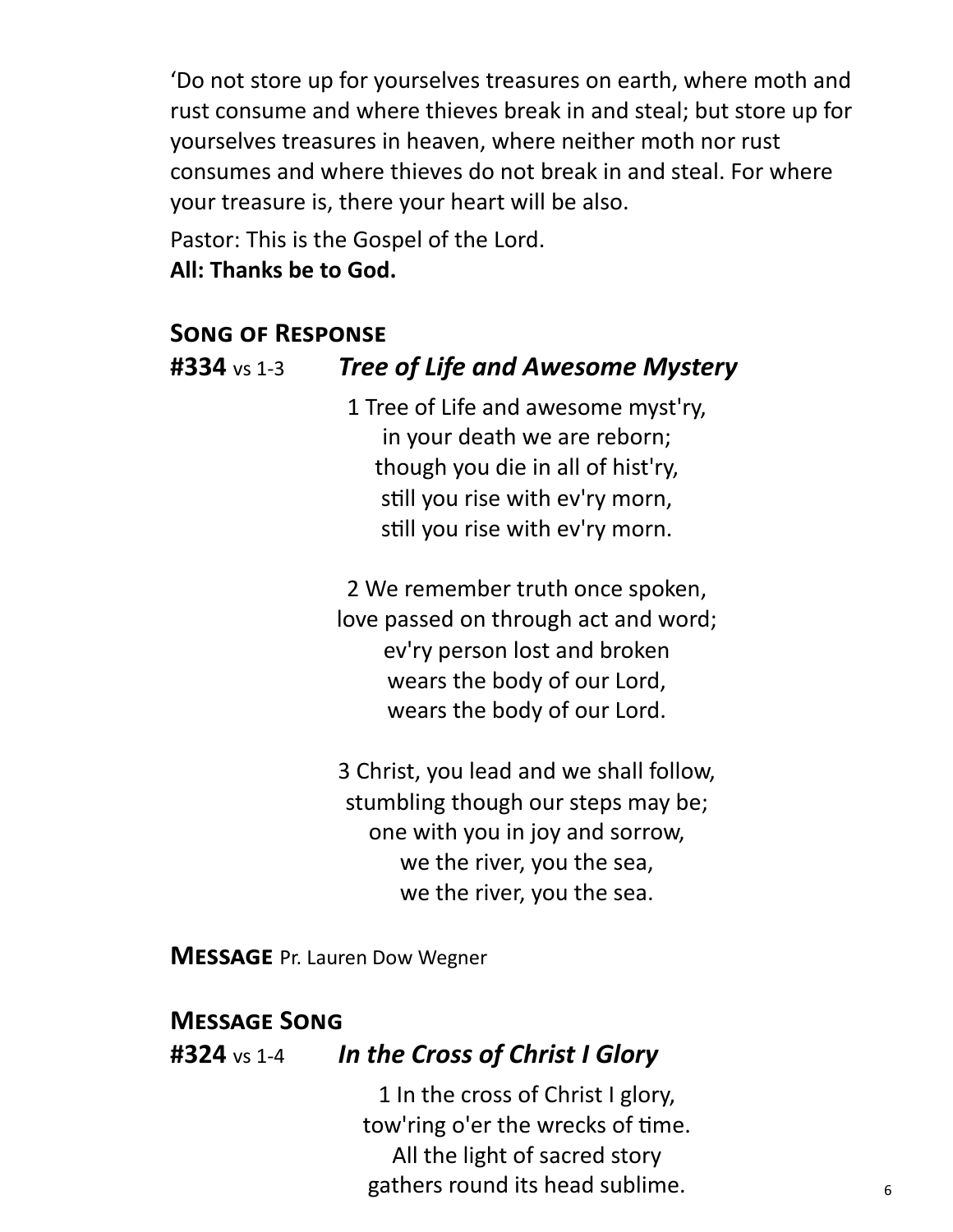'Do not store up for yourselves treasures on earth, where moth and rust consume and where thieves break in and steal; but store up for yourselves treasures in heaven, where neither moth nor rust consumes and where thieves do not break in and steal. For where your treasure is, there your heart will be also.

Pastor: This is the Gospel of the Lord. **All: Thanks be to God.**

#### **Song of Response**

#### **#334** vs 1-3 *Tree of Life and Awesome Mystery*

1 Tree of Life and awesome myst'ry, in your death we are reborn; though you die in all of hist'ry, still you rise with ev'ry morn, still you rise with ev'ry morn.

2 We remember truth once spoken, love passed on through act and word; ev'ry person lost and broken wears the body of our Lord, wears the body of our Lord.

3 Christ, you lead and we shall follow, stumbling though our steps may be; one with you in joy and sorrow, we the river, you the sea, we the river, you the sea.

**Message** Pr. Lauren Dow Wegner

#### **Message Song**

#### **#324** vs 1-4 *In the Cross of Christ I Glory*

1 In the cross of Christ I glory, tow'ring o'er the wrecks of time. All the light of sacred story gathers round its head sublime.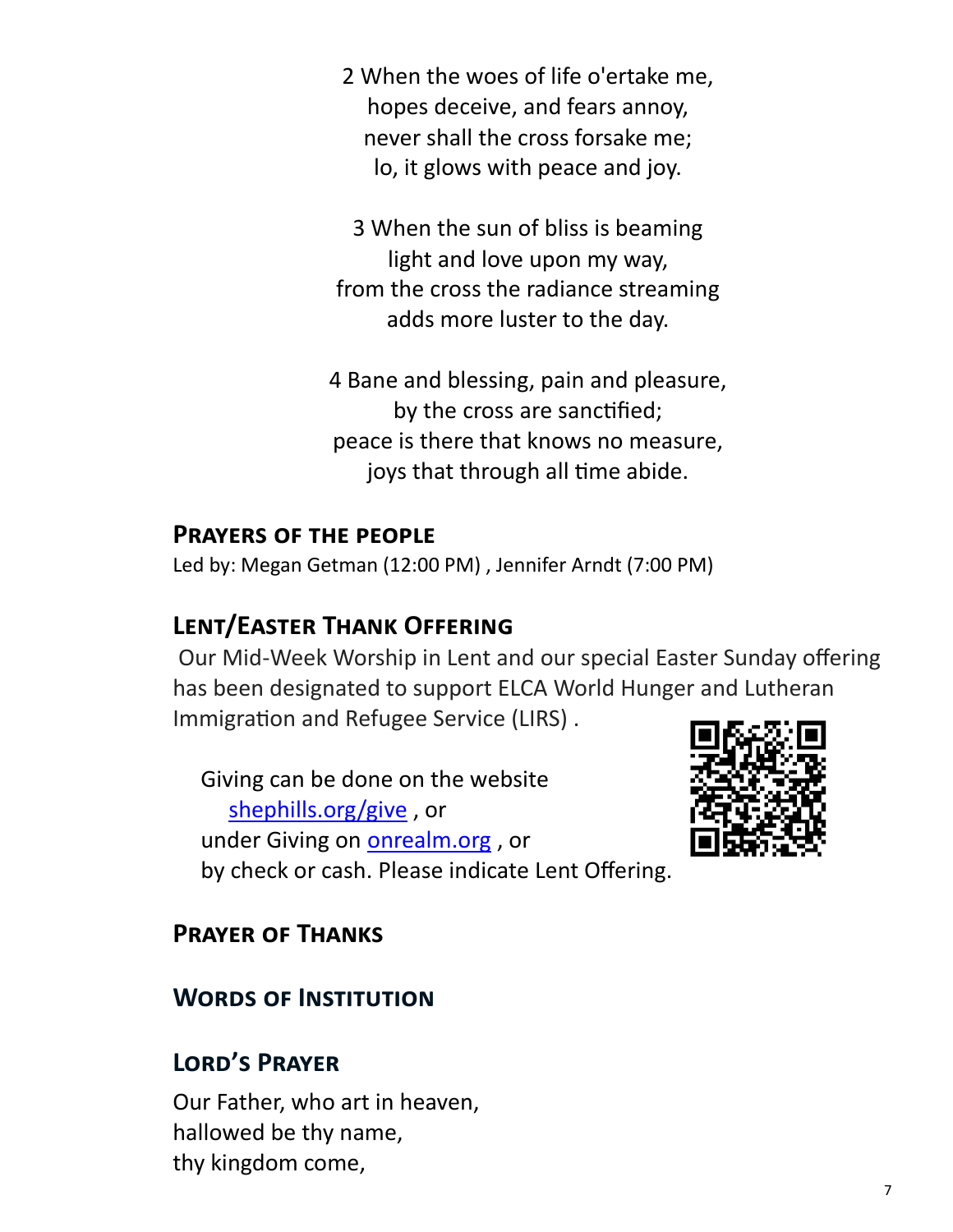2 When the woes of life o'ertake me, hopes deceive, and fears annoy, never shall the cross forsake me; lo, it glows with peace and joy.

3 When the sun of bliss is beaming light and love upon my way, from the cross the radiance streaming adds more luster to the day.

4 Bane and blessing, pain and pleasure, by the cross are sanctified; peace is there that knows no measure, joys that through all time abide.

#### **Prayers of the people**

Led by: Megan Getman (12:00 PM) , Jennifer Arndt (7:00 PM)

## **Lent/Easter Thank Offering**

Our Mid-Week Worship in Lent and our special Easter Sunday offering has been designated to support ELCA World Hunger and Lutheran Immigration and Refugee Service (LIRS) .

Giving can be done on the website [shephills.org/give](shephills.org/give/) , or under Giving on <onrealm.org> , or by check or cash. Please indicate Lent Offering.



#### **Prayer of Thanks**

#### **Words of Institution**

#### **Lord's Prayer**

Our Father, who art in heaven, hallowed be thy name, thy kingdom come,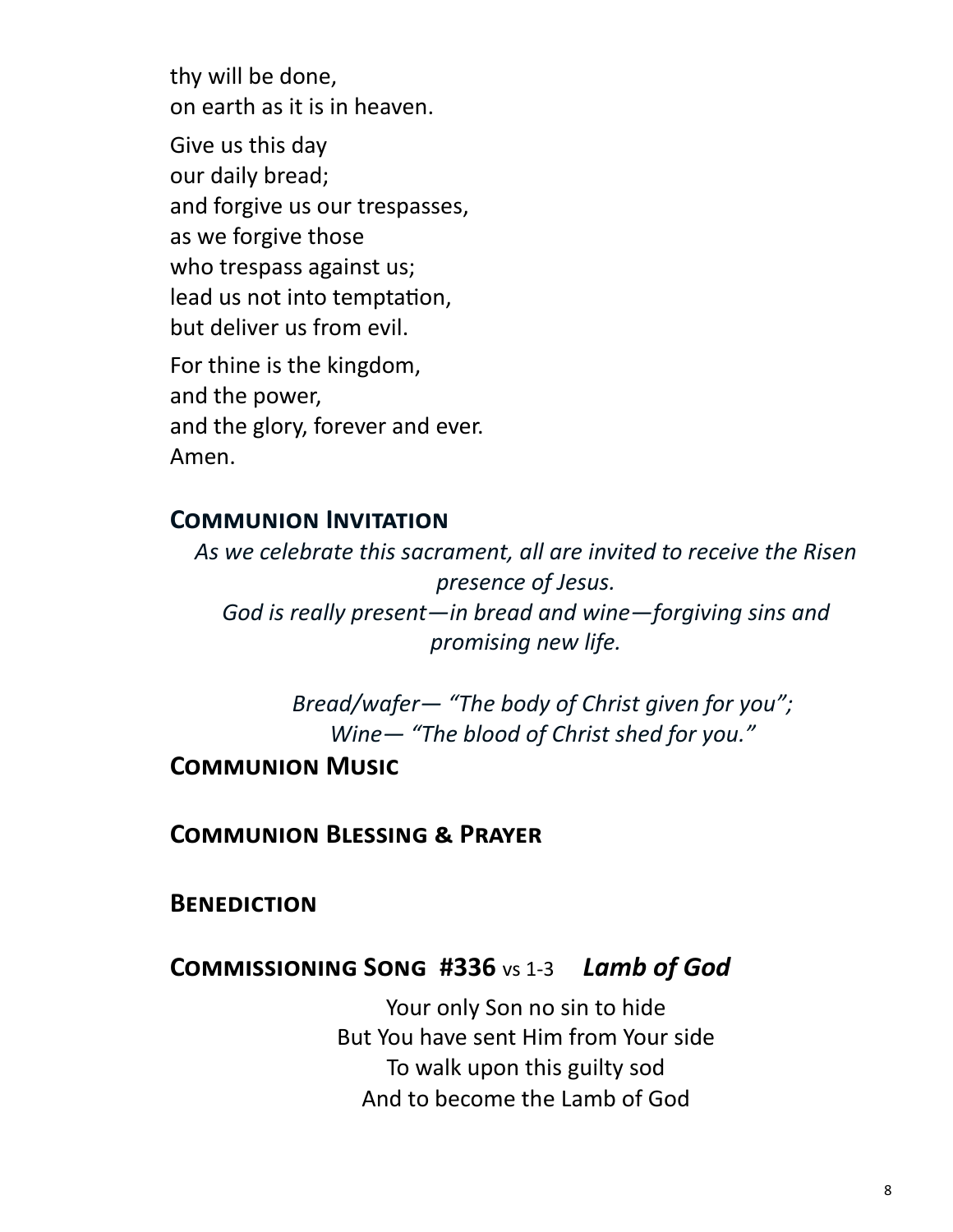thy will be done, on earth as it is in heaven. Give us this day our daily bread; and forgive us our trespasses, as we forgive those who trespass against us; lead us not into temptation, but deliver us from evil. For thine is the kingdom,

and the power, and the glory, forever and ever. Amen.

## **Communion Invitation**

*As we celebrate this sacrament, all are invited to receive the Risen presence of Jesus. God is really present—in bread and wine—forgiving sins and promising new life.* 

> *Bread/wafer— "The body of Christ given for you"; Wine— "The blood of Christ shed for you."*

## **Communion Music**

**Communion Blessing & Prayer**

#### **Benediction**

#### **Commissioning Song #336** vs 1-3 *Lamb of God*

Your only Son no sin to hide But You have sent Him from Your side To walk upon this guilty sod And to become the Lamb of God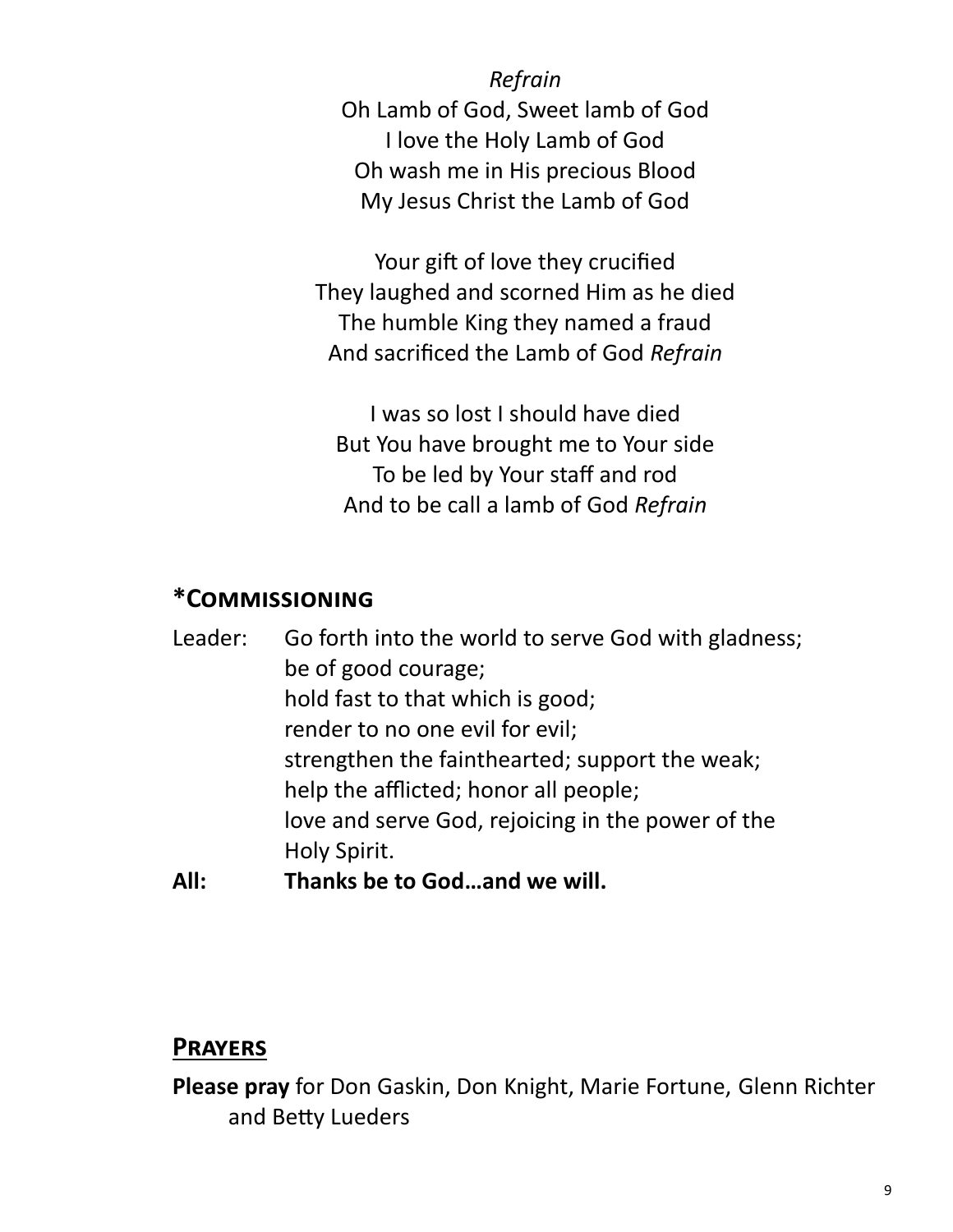*Refrain* Oh Lamb of God, Sweet lamb of God I love the Holy Lamb of God Oh wash me in His precious Blood My Jesus Christ the Lamb of God

Your gift of love they crucified They laughed and scorned Him as he died The humble King they named a fraud And sacrificed the Lamb of God *Refrain*

I was so lost I should have died But You have brought me to Your side To be led by Your staff and rod And to be call a lamb of God *Refrain*

#### **\*Commissioning**

| Leader: | Go forth into the world to serve God with gladness; |  |
|---------|-----------------------------------------------------|--|
|         | be of good courage;                                 |  |
|         | hold fast to that which is good;                    |  |
|         | render to no one evil for evil;                     |  |
|         | strengthen the fainthearted; support the weak;      |  |
|         | help the afflicted; honor all people;               |  |
|         | love and serve God, rejoicing in the power of the   |  |
|         | Holy Spirit.                                        |  |
|         |                                                     |  |

**All: Thanks be to God…and we will.** 

#### **Prayers**

**Please pray** for Don Gaskin, Don Knight, Marie Fortune, Glenn Richter and Betty Lueders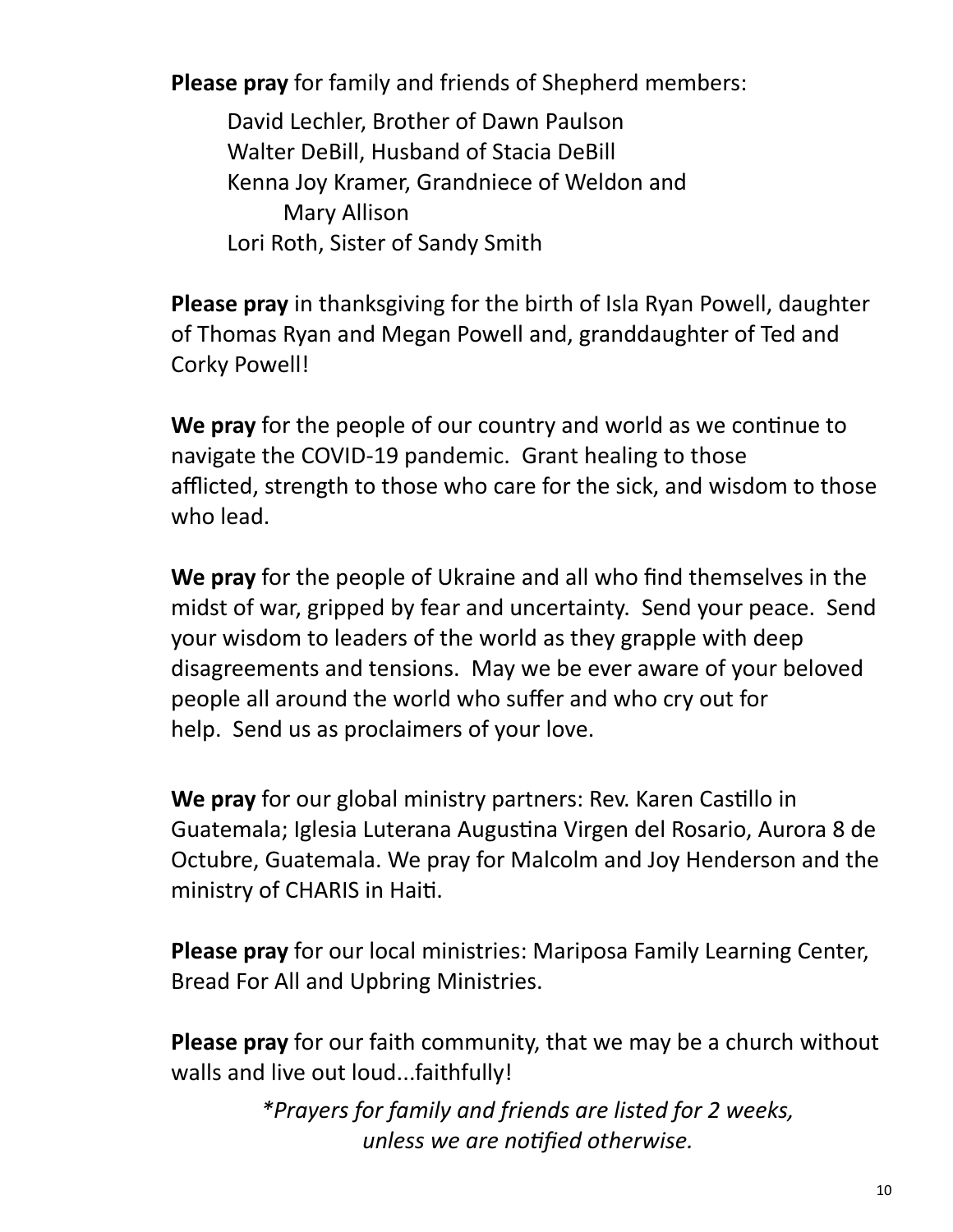**Please pray** for family and friends of Shepherd members:

David Lechler, Brother of Dawn Paulson Walter DeBill, Husband of Stacia DeBill Kenna Joy Kramer, Grandniece of Weldon and Mary Allison Lori Roth, Sister of Sandy Smith

**Please pray** in thanksgiving for the birth of Isla Ryan Powell, daughter of Thomas Ryan and Megan Powell and, granddaughter of Ted and Corky Powell!

**We pray** for the people of our country and world as we continue to navigate the COVID-19 pandemic. Grant healing to those afflicted, strength to those who care for the sick, and wisdom to those who lead.

**We pray** for the people of Ukraine and all who find themselves in the midst of war, gripped by fear and uncertainty. Send your peace. Send your wisdom to leaders of the world as they grapple with deep disagreements and tensions. May we be ever aware of your beloved people all around the world who suffer and who cry out for help. Send us as proclaimers of your love.

**We pray** for our global ministry partners: Rev. Karen Castillo in Guatemala; Iglesia Luterana Augustina Virgen del Rosario, Aurora 8 de Octubre, Guatemala. We pray for Malcolm and Joy Henderson and the ministry of CHARIS in Haiti.

**Please pray** for our local ministries: Mariposa Family Learning Center, Bread For All and Upbring Ministries.

**Please pray** for our faith community, that we may be a church without walls and live out loud...faithfully!

> *\*Prayers for family and friends are listed for 2 weeks, unless we are notified otherwise.*